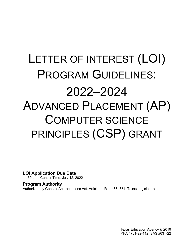# LETTER OF INTEREST (LOI) PROGRAM GUIDELINES: 2022–2024 ADVANCED PLACEMENT (AP) COMPUTER SCIENCE PRINCIPLES (CSP) GRANT

<span id="page-0-0"></span>**LOI Application Due Date**

11:59 p.m. Central Time, July 12, 2022

#### <span id="page-0-2"></span><span id="page-0-1"></span>**Program Authority** Authorized by General Appropriations Act, Article III, Rider 86, 87th Texas Legislature

Texas Education Agency © 2019 RFA #701-22-112; SAS #631-22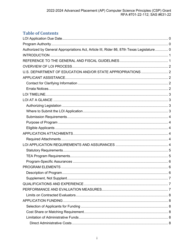# **Table of Contents**

| Authorized by General Appropriations Act, Article III, Rider 86, 87th Texas Legislature 0 |  |
|-------------------------------------------------------------------------------------------|--|
|                                                                                           |  |
|                                                                                           |  |
|                                                                                           |  |
|                                                                                           |  |
|                                                                                           |  |
|                                                                                           |  |
|                                                                                           |  |
|                                                                                           |  |
|                                                                                           |  |
|                                                                                           |  |
|                                                                                           |  |
|                                                                                           |  |
|                                                                                           |  |
|                                                                                           |  |
|                                                                                           |  |
|                                                                                           |  |
|                                                                                           |  |
|                                                                                           |  |
|                                                                                           |  |
|                                                                                           |  |
|                                                                                           |  |
|                                                                                           |  |
|                                                                                           |  |
|                                                                                           |  |
|                                                                                           |  |
|                                                                                           |  |
|                                                                                           |  |
|                                                                                           |  |
|                                                                                           |  |
|                                                                                           |  |
|                                                                                           |  |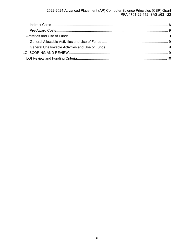# 2022-2024 Advanced Placement (AP) Computer Science Principles (CSP) Grant<br>RFA #701-22-112; SAS #631-22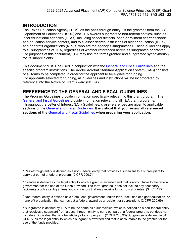# <span id="page-3-0"></span>**INTRODUCTION**

The Texas Education Agency (TEA), as the pass-through entity<sup>[1](#page-3-2)</sup>, is the grantee<sup>[2](#page-3-3)</sup> from the U.S. Department of Education (USDE) and TEA awards subgrants to non-federal entities<sup>[3](#page-3-4)</sup> such as local educational agencies (LEAs), including school districts, open-enrollment charter schools, and education service centers, and to a lesser degree institutions of higher education (IHEs), and nonprofit organizations (NPOs) who are the agency's subgrantees<sup>[4](#page-3-5)</sup>. These guidelines apply to all subgrantees of TEA, regardless of whether referenced herein as subgrantee or grantee. For purposes of this document, TEA may use the terms grantee and subgrantee synonymously for its subrecipients.

This document MUST be used in conjunction with the [General and Fiscal Guidelines](http://tea.texas.gov/WorkArea/linkit.aspx?LinkIdentifier=id&ItemID=25769819073) and the specific program instructions. The Adobe Acrobat Standard Application System (SAS) consists of all forms to be completed in order for the applicant to be eligible for funding. For applicants selected for funding, all guidelines and instructions will be incorporated by reference into the Notice of Grant Award (NOGA).

# <span id="page-3-1"></span>**REFERENCE TO THE GENERAL AND FISCAL GUIDELINES**

The Program Guidelines provide information specifically relevant to this grant program. The [General and Fiscal Guidelines](http://tea.texas.gov/WorkArea/linkit.aspx?LinkIdentifier=id&ItemID=25769819073) provide information relevant to all TEA grant programs. Throughout the Letter of Interest (LOI) Guidelines, cross-references are given to applicable sections of the [General and Fiscal Guidelines.](http://tea.texas.gov/WorkArea/linkit.aspx?LinkIdentifier=id&ItemID=25769819073) **It is critical that you review all referenced sections of the** [General and Fiscal Guidelines](http://tea.texas.gov/WorkArea/linkit.aspx?LinkIdentifier=id&ItemID=25769819073) **when preparing your application.**

<span id="page-3-2"></span><sup>1</sup> Pass-through entity is defined as a non-Federal entity that provides a subaward to a subrecipient to carry out part of a federal program. (2 CFR 200.74)

<span id="page-3-3"></span> $2$  Grantee is defined as the legal entity to which a grant is awarded and that is accountable to the federal government for the use of the funds provided. The term "grantee" does not include any secondary recipients, such as subgrantees and contractors that may receive funds from a grantee. (34 CFR 77)

<span id="page-3-4"></span><sup>3</sup> Non-federal entity is defined as a state, local government, Indian tribe, institution of higher education, or nonprofit organization that carries out a federal award as a recipient or subrecipient. (2 CFR 200.69)

<span id="page-3-5"></span><sup>4</sup> Subgrantee is defined by TEA to be the same as a subrecipient which is defined as a non-federal entity that receives a subaward from a pass-through entity to carry out part of a federal program; but does not include an individual that is a beneficiary of such program. (2 CFR 200.93) Subgrantee is defined in 34 CFR 77 as the legal entity to which a subgrant is awarded and that is accountable to the grantee for the use of the funds provided.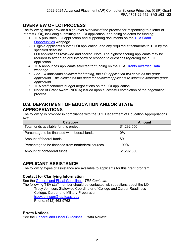# <span id="page-4-0"></span>**OVERVIEW OF LOI PROCESS**

The following steps provide a high-level overview of the process for responding to a letter of interest (LOI), including submitting an LOI application, and being selected for funding:

- 1. TEA publishes LOI application and supporting documents on the [TEA Grant](https://tea4avoswald.tea.state.tx.us/GrantOpportunities/forms/GrantProgramSearch.aspx)  [Opportunities](https://tea4avoswald.tea.state.tx.us/GrantOpportunities/forms/GrantProgramSearch.aspx) webpage.
- 2. Eligible applicants submit LOI application, and any required attachments to TEA by the specified deadline.
- 3. LOI applications reviewed and scored. Note: The highest scoring applicants may be required to attend an oral interview or respond to questions regarding their LOI application.
- 4. TEA announces applicants selected for funding on the TEA [Grants Awarded Data](https://tea.texas.gov/Finance_and_Grants/Grants/Grants_Awarded/Grants_Awarded_Data/) webpage.
- 5. *For LOI applicants selected for funding, the LOI application will serve as the grant application. This eliminates the need for selected applicants to submit a separate grant application.*
- 6. TEA staff conducts budget negotiations on the LOI application.
- 7. Notice of Grant Award (NOGA) issued upon successful completion of the negotiation process.

# <span id="page-4-1"></span>**U.S. DEPARTMENT OF EDUCATION AND/OR STATE APPROPRIATIONS**

The following is provided in compliance with the U.S. Department of Education Appropriations Act:

| Category                                          | <b>Amount</b> |
|---------------------------------------------------|---------------|
| Total funds available for this project            | \$1,292,550   |
| Percentage to be financed with federal funds      | 0%            |
| Amount of federal funds                           | \$0           |
| Percentage to be financed from nonfederal sources | 100%          |
| Amount of nonfederal funds                        | \$1,292,550   |

# <span id="page-4-2"></span>**APPLICANT ASSISTANCE**

The following types of assistance are available to applicants for this grant program.

#### <span id="page-4-3"></span>**Contact for Clarifying Information**

See the [General and Fiscal Guidelines,](http://tea.texas.gov/WorkArea/linkit.aspx?LinkIdentifier=id&ItemID=25769819073) *TEA Contacts*.

The following TEA staff member should be contacted with questions about the LOI: Tracy Johnson, Statewide Coordinator of College and Career Readiness College, Career and Military Preparation [tracy.johnson@tea.texas.gov](mailto:tracy.johnson@tea.texas.gov) Phone: (512) 463-9762

#### <span id="page-4-4"></span>**Errata Notices**

See the [General and Fiscal Guidelines,](http://tea.texas.gov/WorkArea/linkit.aspx?LinkIdentifier=id&ItemID=25769819073) *Errata Notices*.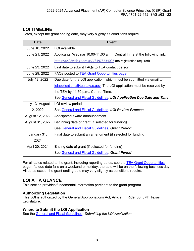# <span id="page-5-0"></span>**LOI TIMELINE**

Dates, except the grant ending date, may vary slightly as conditions require.

| <b>Date</b>     | <b>Event</b>                                                                         |
|-----------------|--------------------------------------------------------------------------------------|
| June 10, 2022   | LOI available                                                                        |
| June 21, 2022   | Applicants' Webinar 10:00-11:00 a.m., Central Time at the following link:            |
|                 | https://us02web.zoom.us/j/84978534027 (no registration required)                     |
| June 23, 2022   | Last date to submit FAQs to TEA contact person                                       |
| June 29, 2022   | FAQs posted to <b>TEA Grant Opportunities page</b>                                   |
| July 12, 2022   | Due date for the LOI application, which must be submitted via email to               |
|                 | $\frac{1}{1}$ loiapplications@tea.texas.gov. The LOI application must be received by |
|                 | the TEA by 11:59 p.m., Central Time.                                                 |
|                 | See General and Fiscal Guidelines, LOI Application Due Date and Time                 |
| July 13- August | LOI review period                                                                    |
| 2, 2022         | See General and Fiscal Guidelines, LOI Review Process                                |
| August 12, 2022 | Anticipated award announcement                                                       |
| August 31, 2022 | Beginning date of grant (if selected for funding)                                    |
|                 | See General and Fiscal Guidelines, Grant Period                                      |
| January 31,     | Final date to submit an amendment (if selected for funding)                          |
| 2024            |                                                                                      |
| April 30, 2024  | Ending date of grant (if selected for funding)                                       |
|                 | See General and Fiscal Guidelines, Grant Period                                      |

For all dates related to the grant, including reporting dates, see the [TEA Grant Opportunities](https://tea4avalonzo.tea.state.tx.us/GrantOpportunities/forms/GrantProgramSearch.aspx) page. If a due date falls on a weekend or holiday, the date will be on the following business day. All dates except the grant ending date may vary slightly as conditions require.

# <span id="page-5-1"></span>**LOI AT A GLANCE**

This section provides fundamental information pertinent to the grant program.

#### <span id="page-5-2"></span>**Authorizing Legislation**

This LOI is authorized by the General Appropriations Act, Article III, Rider 86, 87th Texas Legislature.

#### <span id="page-5-3"></span>**Where to Submit the LOI Application**

See the [General and Fiscal Guidelines](http://tea.texas.gov/WorkArea/linkit.aspx?LinkIdentifier=id&ItemID=25769819073)**:** *Submitting the LOI Application*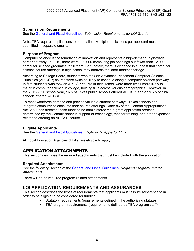#### <span id="page-6-0"></span>**Submission Requirements**

See the [General and Fiscal Guidelines:](http://tea.texas.gov/WorkArea/linkit.aspx?LinkIdentifier=id&ItemID=25769819073) *Submission Requirements for LOI Grants*

Note: TEA requires applications to be emailed. Multiple applications per applicant must be submitted in separate emails.

#### <span id="page-6-1"></span>**Purpose of Program**

Computer science is the foundation of innovation and represents a high-demand, high-wage career pathway. In 2019, there were 389,000 computing job openings but fewer than 72,000 computer science graduates to fill them. Fortunately, there is evidence to suggest that computer science course offerings in high school may address the labor market shortage.

According to College Board, students who took an Advanced Placement Computer Science Principles (AP CSP) course were twice as likely to continue along a computer science pathway. In fact, students who took an AP CSP course in high school were three times more likely to major in computer science in college, holding true across various demographics. However, in the 2019-2020 school year, 16% of Texas public schools offered AP CSP, and only 6% of rural schools offered AP CSP.

To meet workforce demand and provide valuable student pathways, Texas schools can integrate computer science into their course offerings. Rider 86 of the General Appropriations Act, 2021 has directed these funds to be administered via a grant application process determined by the Commissioner in support of technology, teacher training, and other expenses related to offering an AP CSP course.

#### <span id="page-6-2"></span>**Eligible Applicants**

See the [General and Fiscal Guidelines,](http://tea.texas.gov/WorkArea/linkit.aspx?LinkIdentifier=id&ItemID=25769819073) *Eligibility To Apply for LOIs*.

All Local Education Agencies (LEAs) are eligible to apply.

# <span id="page-6-3"></span>**APPLICATION ATTACHMENTS**

This section describes the required attachments that must be included with the application.

#### <span id="page-6-4"></span>**Required Attachments**

See the following section of the [General and Fiscal Guidelines:](http://tea.texas.gov/WorkArea/linkit.aspx?LinkIdentifier=id&ItemID=25769819073) *Required Program-Related Attachments* 

There will be no required program-related attachments.

# <span id="page-6-5"></span>**LOI APPLICATION REQUIREMENTS AND ASSURANCES**

This section describes the types of requirements that applicants must assure adherence to in order to be eligible to be considered for funding:

- Statutory requirements (requirements defined in the authorizing statute)
- TEA program requirements (requirements defined by TEA program staff)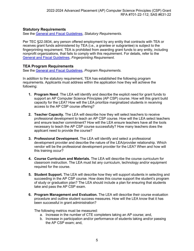#### <span id="page-7-0"></span>**Statutory Requirements**

See the [General and Fiscal Guidelines,](http://tea.texas.gov/WorkArea/linkit.aspx?LinkIdentifier=id&ItemID=25769819073) *Statutory Requirements*.

Per TEC §22.0834, any person offered employment by any entity that contracts with TEA or receives grant funds administered by TEA (i.e., a grantee or subgrantee) is subject to the fingerprinting requirement. TEA is prohibited from awarding grant funds to any entity, including nonprofit organizations, that fails to comply with this requirement. For details, refer to the [General and Fiscal Guidelines,](http://tea.texas.gov/WorkArea/linkit.aspx?LinkIdentifier=id&ItemID=25769819073) *Fingerprinting Requirement*.

#### <span id="page-7-1"></span>**TEA Program Requirements**

See the [General and Fiscal Guidelines,](http://tea.texas.gov/WorkArea/linkit.aspx?LinkIdentifier=id&ItemID=25769819073) *Program Requirements.*

In addition to the statutory requirement, TEA has established the following program requirements. Applicants must address within the application how they will achieve the following:

- **1. Program Need**. The LEA will identify and describe the explicit need for grant funds to support an AP Computer Science Principles (AP CSP) course. How will this grant build capacity for the LEA? How will the LEA prioritize marginalized students in receiving access to the AP CSP course offering?
- **2. Teacher Capacity.** The LEA will describe how they will select teachers to receive professional development to teach an AP CSP course. How will the LEA select teachers and ensure teacher commitment? How will the LEA ensure teachers have all the tools necessary to teach the AP CSP course successfully? How many teachers does the applicant need to provide the course?
- **3. Professional Development.** The LEA will identify and select a professional development provider and describe the nature of the LEA/provider relationship. Which vendor will be the professional development provider for the LEA? When and how will this training occur?
- **4. Course Curriculum and Materials.** The LEA will describe the course curriculum for classroom instruction. The LEA must list any curriculum, technology and/or equipment required for the course.
- **5. Student Support.** The LEA will describe how they will support students in selecting and succeeding in the AP CSP course. How does this course support the student's program of study or graduation plan? The LEA should include a plan for ensuring that students take and pass the AP CSP exam.
- **6. Program Management and Evaluation.** The LEA will describe their course evaluation procedure and outline student success measures. How will the LEA know that it has been successful in grant administration?

The following metrics must be measured:

- a. Increase in the number of CTE completers taking an AP course; and,
- b. Increase in participation and/or performance of students taking and/or passing the AP CSP exam; and,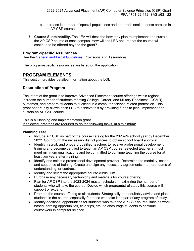- c. Increase in number of special populations and non-traditional students enrolled in an AP CSP course.
- **7. Course Sustainability.** The LEA will describe how they plan to implement and sustain the AP CSP course at each campus. How will the LEA ensure that the course will continue to be offered beyond the grant?

#### <span id="page-8-0"></span>**Program-Specific Assurances**

See the [General and Fiscal Guidelines,](https://tea.texas.gov/Finance_and_Grants/Grants/Administering_a_Grant/General_and_Fiscal_Guidelines/) *Provisions and Assurances*.

The program-specific assurances are listed on the application.

#### <span id="page-8-1"></span>**PROGRAM ELEMENTS**

This section provides detailed information about the LOI.

#### <span id="page-8-2"></span>**Description of Program**

The intent of the grant is to improve Advanced Placement course offerings within regions, increase the number of students meeting College, Career, and Military Readiness (CCMR) outcomes, and prepare students to succeed in a computer science related profession. This grant opportunity allows each LEA to achieve this by providing funds to plan, implement and sustain an AP CSP course.

This is a Planning and Implementation grant.

If selected, grantees are required to do the following tasks, at a minimum:

#### **Planning Year**

- Include AP CSP as part of the course catalog for the 2023-24 school year by December 2022. Go through the necessary district policies to obtain school board approval.
- Identify, recruit, and onboard qualified teachers to receive professional development training and become certified to teach an AP CSP course. Selected teacher(s) must meet minimum qualifications and be committed to continue teaching the course for at least two years after training.
- Identify and select a professional development provider. Determine the modality, scope, and sequence of training. Create and sign any necessary agreements, memorandums of understanding, or contracts.
- Identify and select the appropriate course curriculum.
- Purchase any necessary technology and materials for course offering.
- Plan for AP CSP into the 2023-2024 master schedule, maximizing the number of students who will take the course. Decide which program(s) of study this course will support or expand.
- Promote the course offering to all students. Strategically and equitably advise and place students in the course, especially for those who take it as part of any program of study.
- Identify additional opportunities for students who take the AP CSP course, such as workbased learning opportunities, field trips, etc., to encourage students to continue coursework in computer science.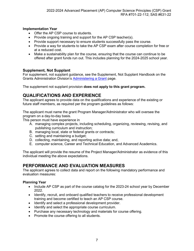#### **Implementation Year**

- Offer the AP CSP course to students.
- Provide ongoing training and support for the AP CSP teacher(s).
- Provide support necessary to ensure students successfully pass the course.
- Provide a way for students to take the AP CSP exam after course completion for free or at a reduced cost.
- Make a sustainability plan for the course, ensuring that the course can continue to be offered after grant funds run out. This includes planning for the 2024-2025 school year.

#### <span id="page-9-0"></span>**Supplement, Not Supplant**

For supplement, not supplant guidance, see the Supplement, Not Supplant Handbook on the Grants Administration Division's [Administering a Grant](http://tea.texas.gov/Finance_and_Grants/Administering_a_Grant.aspx) page.

The supplement not supplant provision **does not apply to this grant program.**

# <span id="page-9-1"></span>**QUALIFICATIONS AND EXPERIENCE**

The applicant agrees to provide data on the qualifications and experience of the existing or future staff members, as required per the program guidelines as follows:

The applicant must name the grant Program Manager/Administrator who will oversee the program on a day-to-day basis.

This person must have experience in

- A. managing complex projects, including scheduling, organizing, reviewing, revising, and publishing curriculum and instruction;
- B. managing local, state or federal grants or contracts;
- C. setting and maintaining a budget;
- D. collecting, maintaining, and reporting active data; and,
- E. computer science, Career and Technical Education, and Advanced Academics.

The applicant will provide the resume of the Project Manager/Administrator as evidence of this individual meeting the above expectations.

# <span id="page-9-2"></span>**PERFORMANCE AND EVALUATION MEASURES**

The applicant agrees to collect data and report on the following mandatory performance and evaluation measures:

#### **Planning Year**

- Include AP CSP as part of the course catalog for the 2023-24 school year by December 2022.
- Identify, recruit, and onboard qualified teachers to receive professional development training and become certified to teach an AP CSP course.
- Identify and select a professional development provider.
- Identify and select the appropriate course curriculum.
- Purchase any necessary technology and materials for course offering.
- Promote the course offering to all students.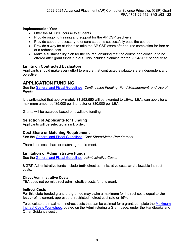#### **Implementation Year**

- Offer the AP CSP course to students.
- Provide ongoing training and support for the AP CSP teacher(s).
- Provide support necessary to ensure students successfully pass the course.
- Provide a way for students to take the AP CSP exam after course completion for free or at a reduced cost.
- Make a sustainability plan for the course, ensuring that the course can continue to be offered after grant funds run out. This includes planning for the 2024-2025 school year.

#### <span id="page-10-0"></span>**Limits on Contracted Evaluators**

Applicants should make every effort to ensure that contracted evaluators are independent and objective.

#### <span id="page-10-1"></span>**APPLICATION FUNDING**

See the [General and Fiscal Guidelines:](http://tea.texas.gov/WorkArea/linkit.aspx?LinkIdentifier=id&ItemID=25769819073) *Continuation Funding, Fund Management, and Use of Funds*

It is anticipated that approximately \$1,292,550 will be awarded to LEAs. LEAs can apply for a maximum amount of \$5,000 per instructor or \$30,000 per LEA.

Grants will be awarded based on available funding.

#### <span id="page-10-2"></span>**Selection of Applicants for Funding**

Applicants will be selected in rank order.

#### <span id="page-10-3"></span>**Cost Share or Matching Requirement**

See the [General and Fiscal Guidelines,](http://tea.texas.gov/WorkArea/linkit.aspx?LinkIdentifier=id&ItemID=25769819073) *Cost Share/Match Requirement*.

There is no cost share or matching requirement.

#### <span id="page-10-4"></span>**Limitation of Administrative Funds**

See the [General and Fiscal Guidelines,](http://tea.texas.gov/WorkArea/linkit.aspx?LinkIdentifier=id&ItemID=25769819073) *Administrative Costs*.

*NOTE*: Administrative funds include **both** direct administrative costs **and** allowable indirect costs.

#### <span id="page-10-5"></span>**Direct Administrative Costs**

TEA does not permit direct administrative costs for this grant.

#### <span id="page-10-6"></span>**Indirect Costs**

For this state-funded grant, the grantee may claim a maximum for indirect costs equal to **the lesser** of its current, approved unrestricted indirect cost rate or 15%.

To calculate the maximum indirect costs that can be claimed for a grant, complete the [Maximum](https://tea.texas.gov/Finance_and_Grants/Administering_a_Grant.aspx)  [Indirect Costs Worksheet,](https://tea.texas.gov/Finance_and_Grants/Administering_a_Grant.aspx) posted on the Administering a Grant page, under the Handbooks and Other Guidance section.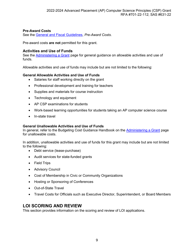#### <span id="page-11-0"></span>**Pre-Award Costs**

See the [General and Fiscal Guidelines,](http://tea.texas.gov/WorkArea/linkit.aspx?LinkIdentifier=id&ItemID=25769819073) *Pre-Award Costs*.

Pre-award costs **are not** permitted for this grant.

#### <span id="page-11-1"></span>**Activities and Use of Funds**

See the [Administering a Grant](http://www.tea.texas.gov/WorkArea/linkit.aspx?LinkIdentifier=id&ItemID=25769814700) page for general guidance on allowable activities and use of funds.

Allowable activities and use of funds may include but are not limited to the following:

#### <span id="page-11-2"></span>**General Allowable Activities and Use of Funds**

- Salaries for staff working directly on the grant
- Professional development and training for teachers
- Supplies and materials for course instruction
- Technology and equipment
- AP CSP examinations for students
- Work-based learning opportunities for students taking an AP computer science course
- In-state travel

#### <span id="page-11-3"></span>**General Unallowable Activities and Use of Funds**

In general, refer to the Budgeting Cost Guidance Handbook on the [Administering a Grant](http://www.tea.texas.gov/WorkArea/linkit.aspx?LinkIdentifier=id&ItemID=25769814700) page for unallowable costs.

In addition, unallowable activities and use of funds for this grant may include but are not limited to the following:

- Debt service (lease-purchase)
- Audit services for state-funded grants
- Field Trips
- Advisory Council
- Cost of Membership in Civic or Community Organizations
- Hosting or Sponsoring of Conferences
- Out-of-State Travel
- Travel Costs for Officials such as Executive Director, Superintendent, or Board Members

#### <span id="page-11-4"></span>**LOI SCORING AND REVIEW**

This section provides information on the scoring and review of LOI applications.